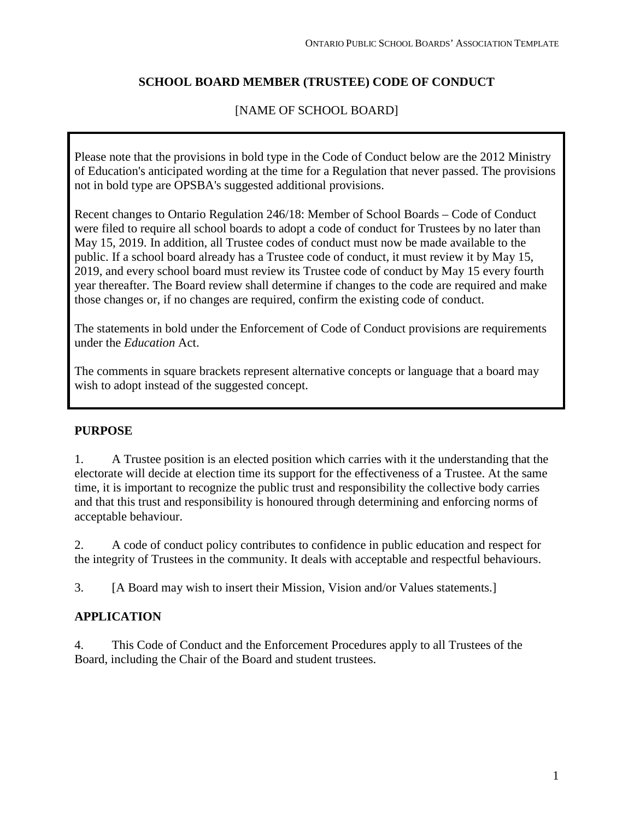## **SCHOOL BOARD MEMBER (TRUSTEE) CODE OF CONDUCT**

## [NAME OF SCHOOL BOARD]

Please note that the provisions in bold type in the Code of Conduct below are the 2012 Ministry of Education's anticipated wording at the time for a Regulation that never passed. The provisions not in bold type are OPSBA's suggested additional provisions.

Recent changes to Ontario Regulation 246/18: Member of School Boards – Code of Conduct were filed to require all school boards to adopt a code of conduct for Trustees by no later than May 15, 2019. In addition, all Trustee codes of conduct must now be made available to the public. If a school board already has a Trustee code of conduct, it must review it by May 15, 2019, and every school board must review its Trustee code of conduct by May 15 every fourth year thereafter. The Board review shall determine if changes to the code are required and make those changes or, if no changes are required, confirm the existing code of conduct.

The statements in bold under the Enforcement of Code of Conduct provisions are requirements under the *Education* Act.

The comments in square brackets represent alternative concepts or language that a board may wish to adopt instead of the suggested concept.

#### **PURPOSE**

1. A Trustee position is an elected position which carries with it the understanding that the electorate will decide at election time its support for the effectiveness of a Trustee. At the same time, it is important to recognize the public trust and responsibility the collective body carries and that this trust and responsibility is honoured through determining and enforcing norms of acceptable behaviour.

2. A code of conduct policy contributes to confidence in public education and respect for the integrity of Trustees in the community. It deals with acceptable and respectful behaviours.

3. [A Board may wish to insert their Mission, Vision and/or Values statements.]

## **APPLICATION**

4. This Code of Conduct and the Enforcement Procedures apply to all Trustees of the Board, including the Chair of the Board and student trustees.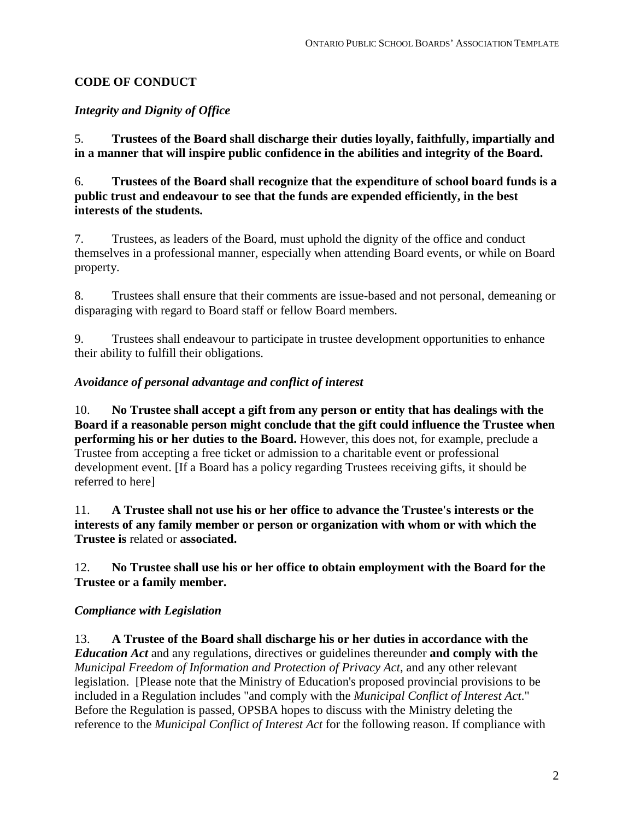# **CODE OF CONDUCT**

# *Integrity and Dignity of Office*

5. **Trustees of the Board shall discharge their duties loyally, faithfully, impartially and in a manner that will inspire public confidence in the abilities and integrity of the Board.**

6. **Trustees of the Board shall recognize that the expenditure of school board funds is a public trust and endeavour to see that the funds are expended efficiently, in the best interests of the students.**

7. Trustees, as leaders of the Board, must uphold the dignity of the office and conduct themselves in a professional manner, especially when attending Board events, or while on Board property.

8. Trustees shall ensure that their comments are issue-based and not personal, demeaning or disparaging with regard to Board staff or fellow Board members.

9. Trustees shall endeavour to participate in trustee development opportunities to enhance their ability to fulfill their obligations.

## *Avoidance of personal advantage and conflict of interest*

10. **No Trustee shall accept a gift from any person or entity that has dealings with the Board if a reasonable person might conclude that the gift could influence the Trustee when performing his or her duties to the Board.** However, this does not, for example, preclude a Trustee from accepting a free ticket or admission to a charitable event or professional development event. [If a Board has a policy regarding Trustees receiving gifts, it should be referred to here]

11. **A Trustee shall not use his or her office to advance the Trustee's interests or the interests of any family member or person or organization with whom or with which the Trustee is** related or **associated.**

## 12. **No Trustee shall use his or her office to obtain employment with the Board for the Trustee or a family member.**

## *Compliance with Legislation*

13. **A Trustee of the Board shall discharge his or her duties in accordance with the**  *Education Act* and any regulations, directives or guidelines thereunder **and comply with the** *Municipal Freedom of Information and Protection of Privacy Act*, and any other relevant legislation. [Please note that the Ministry of Education's proposed provincial provisions to be included in a Regulation includes "and comply with the *Municipal Conflict of Interest Act*." Before the Regulation is passed, OPSBA hopes to discuss with the Ministry deleting the reference to the *Municipal Conflict of Interest Act* for the following reason. If compliance with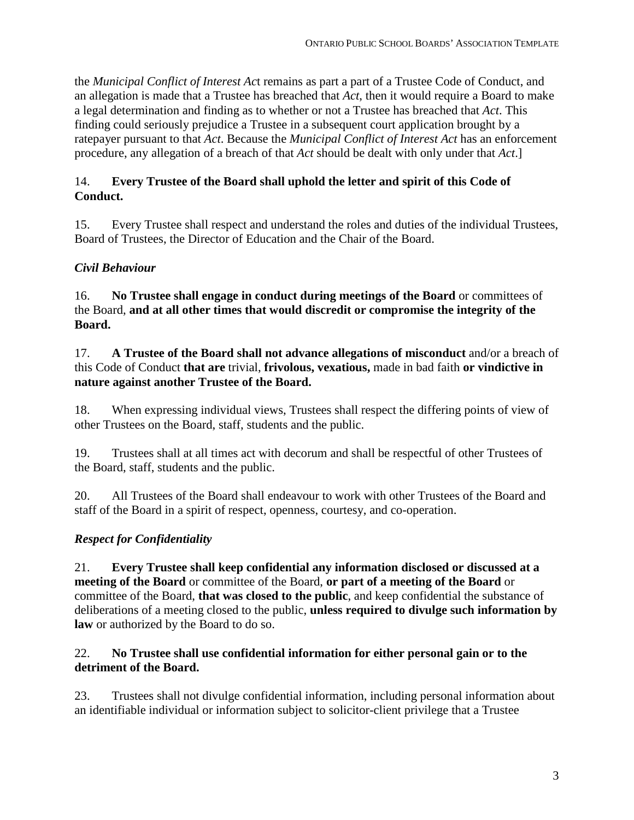the *Municipal Conflict of Interest Ac*t remains as part a part of a Trustee Code of Conduct, and an allegation is made that a Trustee has breached that *Act*, then it would require a Board to make a legal determination and finding as to whether or not a Trustee has breached that *Act*. This finding could seriously prejudice a Trustee in a subsequent court application brought by a ratepayer pursuant to that *Act*. Because the *Municipal Conflict of Interest Act* has an enforcement procedure, any allegation of a breach of that *Act* should be dealt with only under that *Act*.]

## 14. **Every Trustee of the Board shall uphold the letter and spirit of this Code of Conduct.**

15. Every Trustee shall respect and understand the roles and duties of the individual Trustees, Board of Trustees, the Director of Education and the Chair of the Board.

# *Civil Behaviour*

16. **No Trustee shall engage in conduct during meetings of the Board** or committees of the Board, **and at all other times that would discredit or compromise the integrity of the Board.**

17. **A Trustee of the Board shall not advance allegations of misconduct** and/or a breach of this Code of Conduct **that are** trivial, **frivolous, vexatious,** made in bad faith **or vindictive in nature against another Trustee of the Board.**

18. When expressing individual views, Trustees shall respect the differing points of view of other Trustees on the Board, staff, students and the public.

19. Trustees shall at all times act with decorum and shall be respectful of other Trustees of the Board, staff, students and the public.

20. All Trustees of the Board shall endeavour to work with other Trustees of the Board and staff of the Board in a spirit of respect, openness, courtesy, and co-operation.

# *Respect for Confidentiality*

21. **Every Trustee shall keep confidential any information disclosed or discussed at a meeting of the Board** or committee of the Board, **or part of a meeting of the Board** or committee of the Board, **that was closed to the public**, and keep confidential the substance of deliberations of a meeting closed to the public, **unless required to divulge such information by law** or authorized by the Board to do so.

## 22. **No Trustee shall use confidential information for either personal gain or to the detriment of the Board.**

23. Trustees shall not divulge confidential information, including personal information about an identifiable individual or information subject to solicitor-client privilege that a Trustee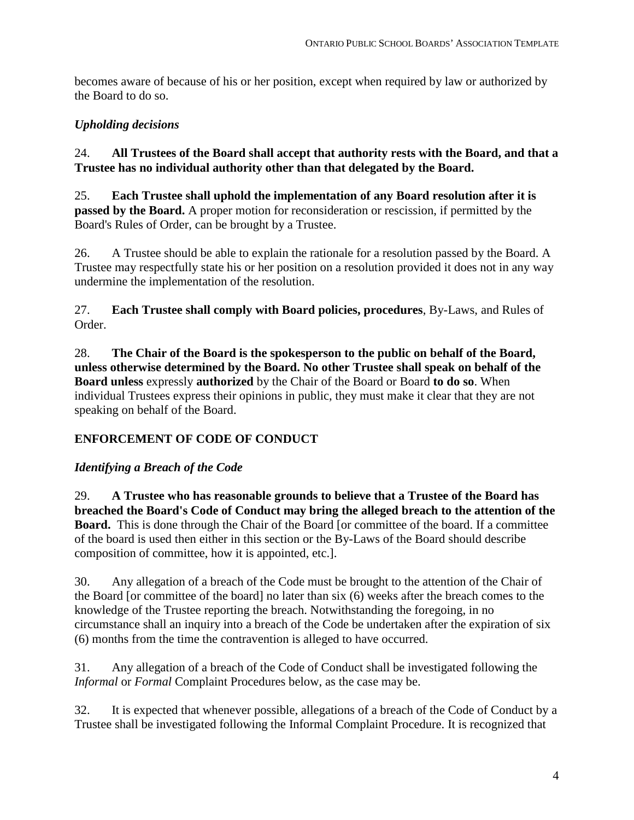becomes aware of because of his or her position, except when required by law or authorized by the Board to do so.

# *Upholding decisions*

24. **All Trustees of the Board shall accept that authority rests with the Board, and that a Trustee has no individual authority other than that delegated by the Board.**

25. **Each Trustee shall uphold the implementation of any Board resolution after it is passed by the Board.** A proper motion for reconsideration or rescission, if permitted by the Board's Rules of Order, can be brought by a Trustee.

26. A Trustee should be able to explain the rationale for a resolution passed by the Board. A Trustee may respectfully state his or her position on a resolution provided it does not in any way undermine the implementation of the resolution.

27. **Each Trustee shall comply with Board policies, procedures**, By-Laws, and Rules of Order.

28. **The Chair of the Board is the spokesperson to the public on behalf of the Board, unless otherwise determined by the Board. No other Trustee shall speak on behalf of the Board unless** expressly **authorized** by the Chair of the Board or Board **to do so**. When individual Trustees express their opinions in public, they must make it clear that they are not speaking on behalf of the Board.

# **ENFORCEMENT OF CODE OF CONDUCT**

## *Identifying a Breach of the Code*

29. **A Trustee who has reasonable grounds to believe that a Trustee of the Board has breached the Board's Code of Conduct may bring the alleged breach to the attention of the Board.** This is done through the Chair of the Board [or committee of the board. If a committee of the board is used then either in this section or the By-Laws of the Board should describe composition of committee, how it is appointed, etc.].

30. Any allegation of a breach of the Code must be brought to the attention of the Chair of the Board [or committee of the board] no later than six (6) weeks after the breach comes to the knowledge of the Trustee reporting the breach. Notwithstanding the foregoing, in no circumstance shall an inquiry into a breach of the Code be undertaken after the expiration of six (6) months from the time the contravention is alleged to have occurred.

31. Any allegation of a breach of the Code of Conduct shall be investigated following the *Informal* or *Formal* Complaint Procedures below, as the case may be.

32. It is expected that whenever possible, allegations of a breach of the Code of Conduct by a Trustee shall be investigated following the Informal Complaint Procedure. It is recognized that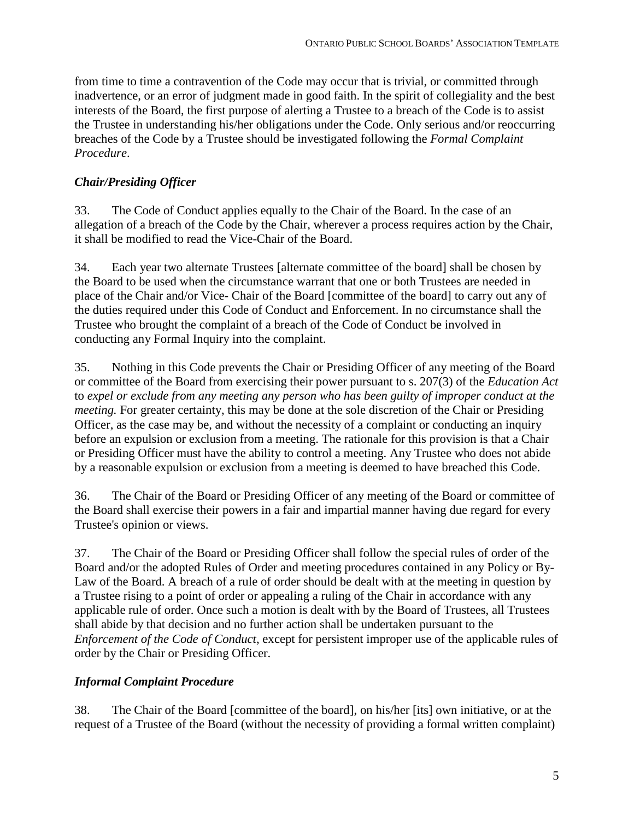from time to time a contravention of the Code may occur that is trivial, or committed through inadvertence, or an error of judgment made in good faith. In the spirit of collegiality and the best interests of the Board, the first purpose of alerting a Trustee to a breach of the Code is to assist the Trustee in understanding his/her obligations under the Code. Only serious and/or reoccurring breaches of the Code by a Trustee should be investigated following the *Formal Complaint Procedure*.

# *Chair/Presiding Officer*

33. The Code of Conduct applies equally to the Chair of the Board. In the case of an allegation of a breach of the Code by the Chair, wherever a process requires action by the Chair, it shall be modified to read the Vice-Chair of the Board.

34. Each year two alternate Trustees [alternate committee of the board] shall be chosen by the Board to be used when the circumstance warrant that one or both Trustees are needed in place of the Chair and/or Vice- Chair of the Board [committee of the board] to carry out any of the duties required under this Code of Conduct and Enforcement. In no circumstance shall the Trustee who brought the complaint of a breach of the Code of Conduct be involved in conducting any Formal Inquiry into the complaint.

35. Nothing in this Code prevents the Chair or Presiding Officer of any meeting of the Board or committee of the Board from exercising their power pursuant to s. 207(3) of the *Education Act*  to *expel or exclude from any meeting any person who has been guilty of improper conduct at the meeting*. For greater certainty, this may be done at the sole discretion of the Chair or Presiding Officer, as the case may be, and without the necessity of a complaint or conducting an inquiry before an expulsion or exclusion from a meeting. The rationale for this provision is that a Chair or Presiding Officer must have the ability to control a meeting. Any Trustee who does not abide by a reasonable expulsion or exclusion from a meeting is deemed to have breached this Code.

36. The Chair of the Board or Presiding Officer of any meeting of the Board or committee of the Board shall exercise their powers in a fair and impartial manner having due regard for every Trustee's opinion or views.

37. The Chair of the Board or Presiding Officer shall follow the special rules of order of the Board and/or the adopted Rules of Order and meeting procedures contained in any Policy or By-Law of the Board. A breach of a rule of order should be dealt with at the meeting in question by a Trustee rising to a point of order or appealing a ruling of the Chair in accordance with any applicable rule of order. Once such a motion is dealt with by the Board of Trustees, all Trustees shall abide by that decision and no further action shall be undertaken pursuant to the *Enforcement of the Code of Conduct*, except for persistent improper use of the applicable rules of order by the Chair or Presiding Officer.

# *Informal Complaint Procedure*

38. The Chair of the Board [committee of the board], on his/her [its] own initiative, or at the request of a Trustee of the Board (without the necessity of providing a formal written complaint)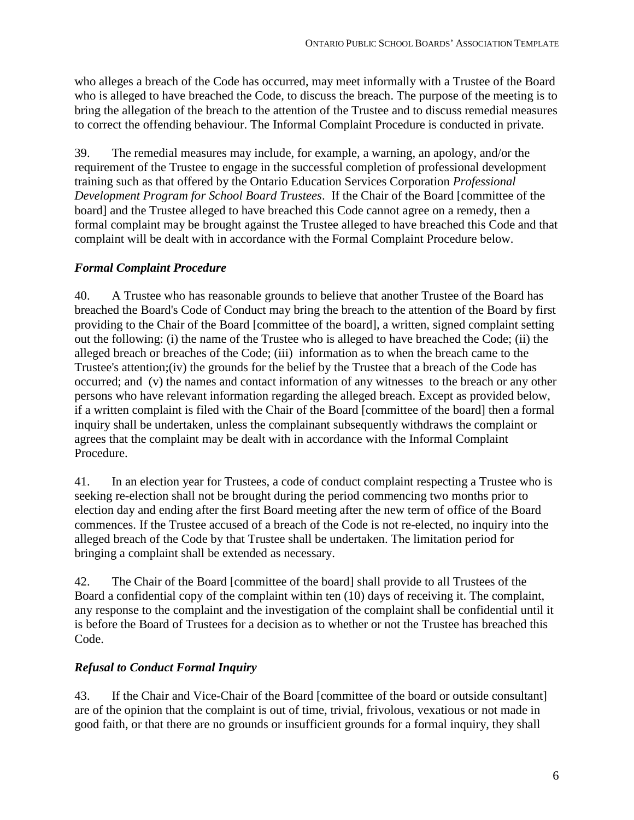who alleges a breach of the Code has occurred, may meet informally with a Trustee of the Board who is alleged to have breached the Code, to discuss the breach. The purpose of the meeting is to bring the allegation of the breach to the attention of the Trustee and to discuss remedial measures to correct the offending behaviour. The Informal Complaint Procedure is conducted in private.

39. The remedial measures may include, for example, a warning, an apology, and/or the requirement of the Trustee to engage in the successful completion of professional development training such as that offered by the Ontario Education Services Corporation *Professional Development Program for School Board Trustees*. If the Chair of the Board [committee of the board] and the Trustee alleged to have breached this Code cannot agree on a remedy, then a formal complaint may be brought against the Trustee alleged to have breached this Code and that complaint will be dealt with in accordance with the Formal Complaint Procedure below.

## *Formal Complaint Procedure*

40. A Trustee who has reasonable grounds to believe that another Trustee of the Board has breached the Board's Code of Conduct may bring the breach to the attention of the Board by first providing to the Chair of the Board [committee of the board], a written, signed complaint setting out the following: (i) the name of the Trustee who is alleged to have breached the Code; (ii) the alleged breach or breaches of the Code; (iii) information as to when the breach came to the Trustee's attention;(iv) the grounds for the belief by the Trustee that a breach of the Code has occurred; and (v) the names and contact information of any witnesses to the breach or any other persons who have relevant information regarding the alleged breach. Except as provided below, if a written complaint is filed with the Chair of the Board [committee of the board] then a formal inquiry shall be undertaken, unless the complainant subsequently withdraws the complaint or agrees that the complaint may be dealt with in accordance with the Informal Complaint Procedure.

41. In an election year for Trustees, a code of conduct complaint respecting a Trustee who is seeking re-election shall not be brought during the period commencing two months prior to election day and ending after the first Board meeting after the new term of office of the Board commences. If the Trustee accused of a breach of the Code is not re-elected, no inquiry into the alleged breach of the Code by that Trustee shall be undertaken. The limitation period for bringing a complaint shall be extended as necessary.

42. The Chair of the Board [committee of the board] shall provide to all Trustees of the Board a confidential copy of the complaint within ten (10) days of receiving it. The complaint, any response to the complaint and the investigation of the complaint shall be confidential until it is before the Board of Trustees for a decision as to whether or not the Trustee has breached this Code.

## *Refusal to Conduct Formal Inquiry*

43. If the Chair and Vice-Chair of the Board [committee of the board or outside consultant] are of the opinion that the complaint is out of time, trivial, frivolous, vexatious or not made in good faith, or that there are no grounds or insufficient grounds for a formal inquiry, they shall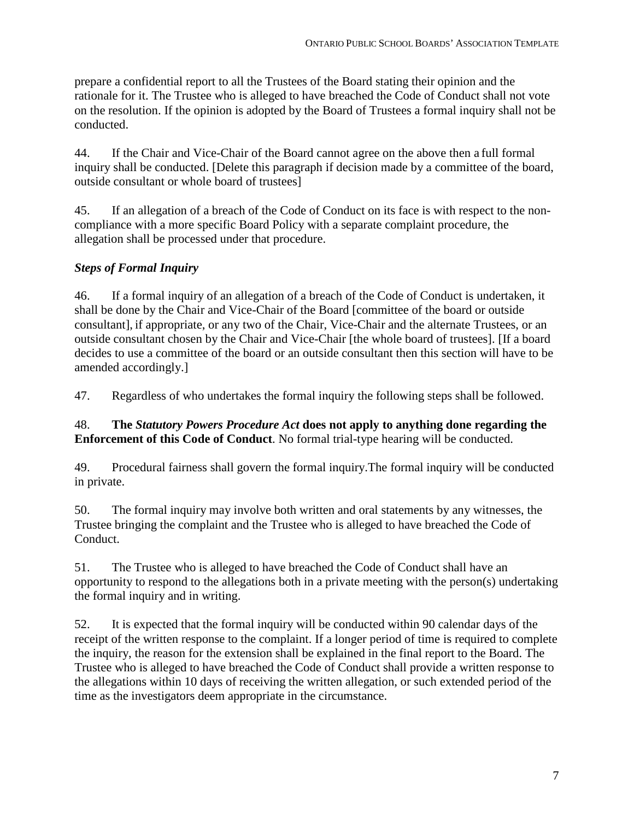prepare a confidential report to all the Trustees of the Board stating their opinion and the rationale for it. The Trustee who is alleged to have breached the Code of Conduct shall not vote on the resolution. If the opinion is adopted by the Board of Trustees a formal inquiry shall not be conducted.

44. If the Chair and Vice-Chair of the Board cannot agree on the above then a full formal inquiry shall be conducted. [Delete this paragraph if decision made by a committee of the board, outside consultant or whole board of trustees]

45. If an allegation of a breach of the Code of Conduct on its face is with respect to the noncompliance with a more specific Board Policy with a separate complaint procedure, the allegation shall be processed under that procedure.

# *Steps of Formal Inquiry*

46. If a formal inquiry of an allegation of a breach of the Code of Conduct is undertaken, it shall be done by the Chair and Vice-Chair of the Board [committee of the board or outside consultant], if appropriate, or any two of the Chair, Vice-Chair and the alternate Trustees, or an outside consultant chosen by the Chair and Vice-Chair [the whole board of trustees]. [If a board decides to use a committee of the board or an outside consultant then this section will have to be amended accordingly.]

47. Regardless of who undertakes the formal inquiry the following steps shall be followed.

## 48. **The** *Statutory Powers Procedure Act* **does not apply to anything done regarding the Enforcement of this Code of Conduct**. No formal trial-type hearing will be conducted.

49. Procedural fairness shall govern the formal inquiry.The formal inquiry will be conducted in private.

50. The formal inquiry may involve both written and oral statements by any witnesses, the Trustee bringing the complaint and the Trustee who is alleged to have breached the Code of Conduct.

51. The Trustee who is alleged to have breached the Code of Conduct shall have an opportunity to respond to the allegations both in a private meeting with the person(s) undertaking the formal inquiry and in writing.

52. It is expected that the formal inquiry will be conducted within 90 calendar days of the receipt of the written response to the complaint. If a longer period of time is required to complete the inquiry, the reason for the extension shall be explained in the final report to the Board. The Trustee who is alleged to have breached the Code of Conduct shall provide a written response to the allegations within 10 days of receiving the written allegation, or such extended period of the time as the investigators deem appropriate in the circumstance.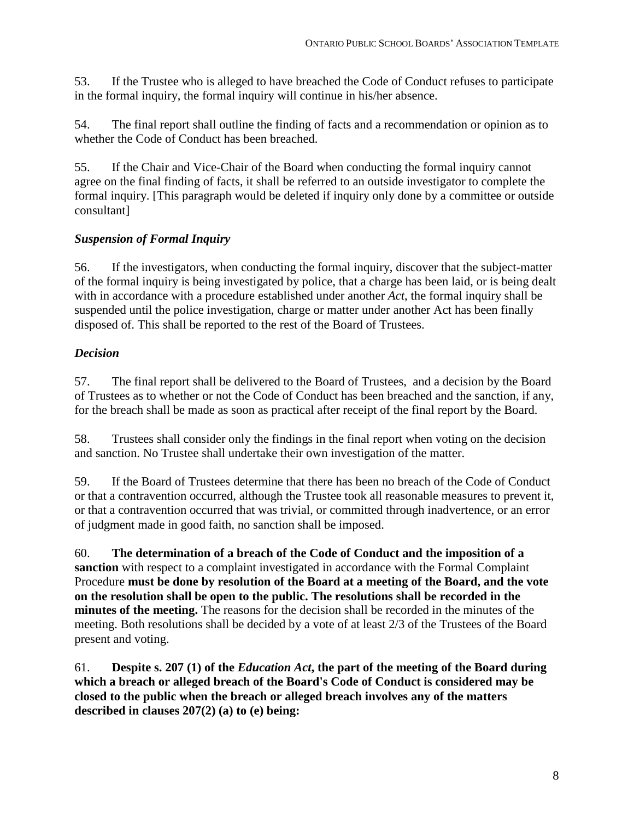53. If the Trustee who is alleged to have breached the Code of Conduct refuses to participate in the formal inquiry, the formal inquiry will continue in his/her absence.

54. The final report shall outline the finding of facts and a recommendation or opinion as to whether the Code of Conduct has been breached.

55. If the Chair and Vice-Chair of the Board when conducting the formal inquiry cannot agree on the final finding of facts, it shall be referred to an outside investigator to complete the formal inquiry. [This paragraph would be deleted if inquiry only done by a committee or outside consultant]

## *Suspension of Formal Inquiry*

56. If the investigators, when conducting the formal inquiry, discover that the subject-matter of the formal inquiry is being investigated by police, that a charge has been laid, or is being dealt with in accordance with a procedure established under another *Act*, the formal inquiry shall be suspended until the police investigation, charge or matter under another Act has been finally disposed of. This shall be reported to the rest of the Board of Trustees.

# *Decision*

57. The final report shall be delivered to the Board of Trustees, and a decision by the Board of Trustees as to whether or not the Code of Conduct has been breached and the sanction, if any, for the breach shall be made as soon as practical after receipt of the final report by the Board.

58. Trustees shall consider only the findings in the final report when voting on the decision and sanction. No Trustee shall undertake their own investigation of the matter.

59. If the Board of Trustees determine that there has been no breach of the Code of Conduct or that a contravention occurred, although the Trustee took all reasonable measures to prevent it, or that a contravention occurred that was trivial, or committed through inadvertence, or an error of judgment made in good faith, no sanction shall be imposed.

60. **The determination of a breach of the Code of Conduct and the imposition of a sanction** with respect to a complaint investigated in accordance with the Formal Complaint Procedure **must be done by resolution of the Board at a meeting of the Board, and the vote on the resolution shall be open to the public. The resolutions shall be recorded in the minutes of the meeting.** The reasons for the decision shall be recorded in the minutes of the meeting. Both resolutions shall be decided by a vote of at least 2/3 of the Trustees of the Board present and voting.

61. **Despite s. 207 (1) of the** *Education Act***, the part of the meeting of the Board during which a breach or alleged breach of the Board's Code of Conduct is considered may be closed to the public when the breach or alleged breach involves any of the matters described in clauses 207(2) (a) to (e) being:**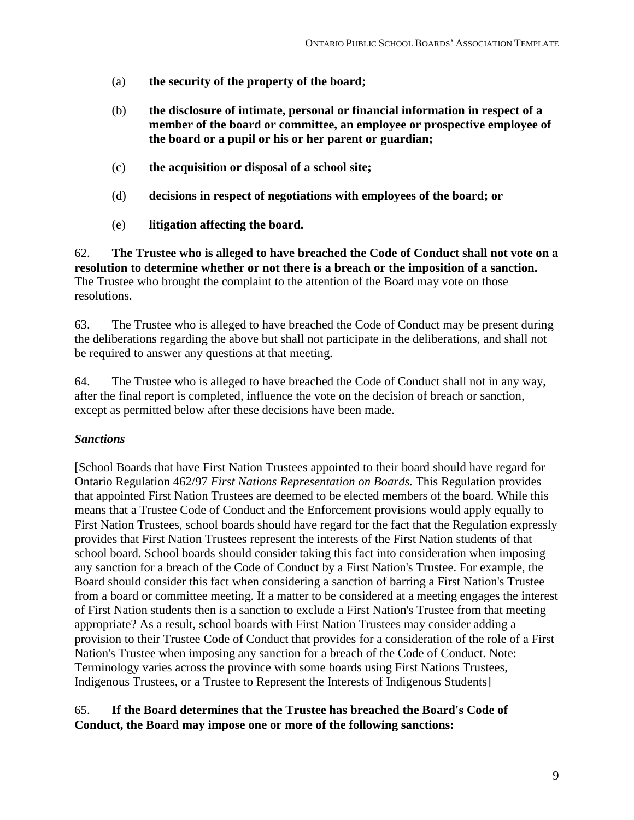- (a) **the security of the property of the board;**
- (b) **the disclosure of intimate, personal or financial information in respect of a member of the board or committee, an employee or prospective employee of the board or a pupil or his or her parent or guardian;**
- (c) **the acquisition or disposal of a school site;**
- (d) **decisions in respect of negotiations with employees of the board; or**
- (e) **litigation affecting the board.**

62. **The Trustee who is alleged to have breached the Code of Conduct shall not vote on a resolution to determine whether or not there is a breach or the imposition of a sanction.** The Trustee who brought the complaint to the attention of the Board may vote on those resolutions.

63. The Trustee who is alleged to have breached the Code of Conduct may be present during the deliberations regarding the above but shall not participate in the deliberations, and shall not be required to answer any questions at that meeting.

64. The Trustee who is alleged to have breached the Code of Conduct shall not in any way, after the final report is completed, influence the vote on the decision of breach or sanction, except as permitted below after these decisions have been made.

#### *Sanctions*

[School Boards that have First Nation Trustees appointed to their board should have regard for Ontario Regulation 462/97 *First Nations Representation on Boards.* This Regulation provides that appointed First Nation Trustees are deemed to be elected members of the board. While this means that a Trustee Code of Conduct and the Enforcement provisions would apply equally to First Nation Trustees, school boards should have regard for the fact that the Regulation expressly provides that First Nation Trustees represent the interests of the First Nation students of that school board. School boards should consider taking this fact into consideration when imposing any sanction for a breach of the Code of Conduct by a First Nation's Trustee. For example, the Board should consider this fact when considering a sanction of barring a First Nation's Trustee from a board or committee meeting. If a matter to be considered at a meeting engages the interest of First Nation students then is a sanction to exclude a First Nation's Trustee from that meeting appropriate? As a result, school boards with First Nation Trustees may consider adding a provision to their Trustee Code of Conduct that provides for a consideration of the role of a First Nation's Trustee when imposing any sanction for a breach of the Code of Conduct. Note: Terminology varies across the province with some boards using First Nations Trustees, Indigenous Trustees, or a Trustee to Represent the Interests of Indigenous Students]

#### 65. **If the Board determines that the Trustee has breached the Board's Code of Conduct, the Board may impose one or more of the following sanctions:**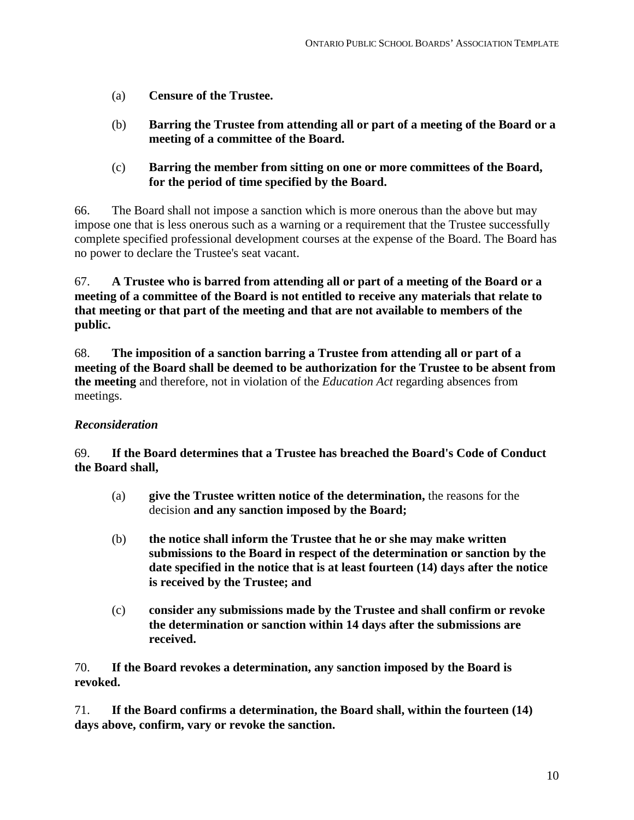- (a) **Censure of the Trustee.**
- (b) **Barring the Trustee from attending all or part of a meeting of the Board or a meeting of a committee of the Board.**
- (c) **Barring the member from sitting on one or more committees of the Board, for the period of time specified by the Board.**

66. The Board shall not impose a sanction which is more onerous than the above but may impose one that is less onerous such as a warning or a requirement that the Trustee successfully complete specified professional development courses at the expense of the Board. The Board has no power to declare the Trustee's seat vacant.

67. **A Trustee who is barred from attending all or part of a meeting of the Board or a meeting of a committee of the Board is not entitled to receive any materials that relate to that meeting or that part of the meeting and that are not available to members of the public.**

68. **The imposition of a sanction barring a Trustee from attending all or part of a meeting of the Board shall be deemed to be authorization for the Trustee to be absent from the meeting** and therefore, not in violation of the *Education Act* regarding absences from meetings.

#### *Reconsideration*

69. **If the Board determines that a Trustee has breached the Board's Code of Conduct the Board shall,**

- (a) **give the Trustee written notice of the determination,** the reasons for the decision **and any sanction imposed by the Board;**
- (b) **the notice shall inform the Trustee that he or she may make written submissions to the Board in respect of the determination or sanction by the date specified in the notice that is at least fourteen (14) days after the notice is received by the Trustee; and**
- (c) **consider any submissions made by the Trustee and shall confirm or revoke the determination or sanction within 14 days after the submissions are received.**

70. **If the Board revokes a determination, any sanction imposed by the Board is revoked.**

71. **If the Board confirms a determination, the Board shall, within the fourteen (14) days above, confirm, vary or revoke the sanction.**